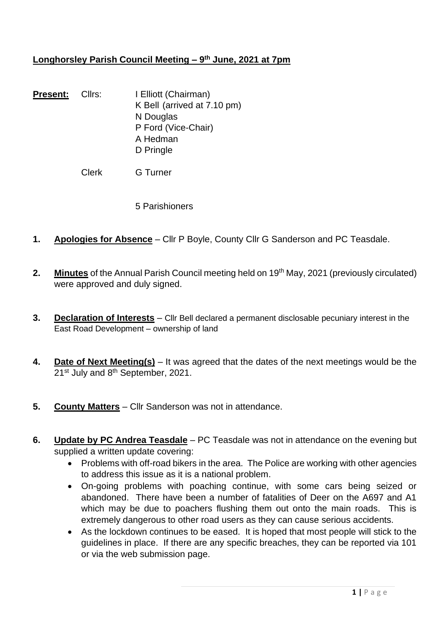# **Longhorsley Parish Council Meeting – 9 th June, 2021 at 7pm**

**Present:** Cllrs: I Elliott (Chairman) K Bell (arrived at 7.10 pm) N Douglas P Ford (Vice-Chair) A Hedman D Pringle

Clerk G Turner

5 Parishioners

- **1. Apologies for Absence** Cllr P Boyle, County Cllr G Sanderson and PC Teasdale.
- **2. Minutes** of the Annual Parish Council meeting held on 19<sup>th</sup> May, 2021 (previously circulated) were approved and duly signed.
- **3. Declaration of Interests** Cllr Bell declared a permanent disclosable pecuniary interest in the East Road Development – ownership of land
- **4. Date of Next Meeting(s)** It was agreed that the dates of the next meetings would be the 21<sup>st</sup> July and 8<sup>th</sup> September, 2021.
- **5. County Matters** Cllr Sanderson was not in attendance.
- **6. Update by PC Andrea Teasdale** PC Teasdale was not in attendance on the evening but supplied a written update covering:
	- Problems with off-road bikers in the area. The Police are working with other agencies to address this issue as it is a national problem.
	- On-going problems with poaching continue, with some cars being seized or abandoned. There have been a number of fatalities of Deer on the A697 and A1 which may be due to poachers flushing them out onto the main roads. This is extremely dangerous to other road users as they can cause serious accidents.
	- As the lockdown continues to be eased. It is hoped that most people will stick to the guidelines in place. If there are any specific breaches, they can be reported via 101 or via the web submission page.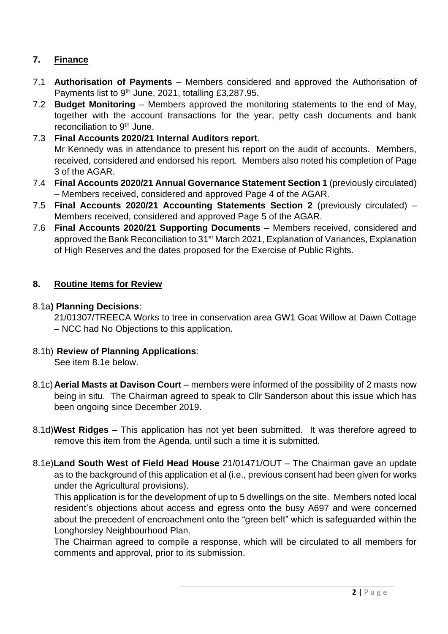# **7. Finance**

- 7.1 **Authorisation of Payments** Members considered and approved the Authorisation of Payments list to 9<sup>th</sup> June, 2021, totalling £3,287.95.
- 7.2 **Budget Monitoring** Members approved the monitoring statements to the end of May, together with the account transactions for the year, petty cash documents and bank reconciliation to 9<sup>th</sup> June.
- 7.3 **Final Accounts 2020/21 Internal Auditors report**. Mr Kennedy was in attendance to present his report on the audit of accounts. Members, received, considered and endorsed his report. Members also noted his completion of Page 3 of the AGAR.
- 7.4 **Final Accounts 2020/21 Annual Governance Statement Section 1** (previously circulated) – Members received, considered and approved Page 4 of the AGAR.
- 7.5 **Final Accounts 2020/21 Accounting Statements Section 2** (previously circulated) Members received, considered and approved Page 5 of the AGAR.
- 7.6 **Final Accounts 2020/21 Supporting Documents**  Members received, considered and approved the Bank Reconciliation to 31<sup>st</sup> March 2021, Explanation of Variances, Explanation of High Reserves and the dates proposed for the Exercise of Public Rights.

#### **8. Routine Items for Review**

#### 8.1a**) Planning Decisions**:

21/01307/TREECA Works to tree in conservation area GW1 Goat Willow at Dawn Cottage – NCC had No Objections to this application.

8.1b) **Review of Planning Applications**:

See item 8.1e below.

- 8.1c)**Aerial Masts at Davison Court** members were informed of the possibility of 2 masts now being in situ. The Chairman agreed to speak to Cllr Sanderson about this issue which has been ongoing since December 2019.
- 8.1d)**West Ridges** This application has not yet been submitted. It was therefore agreed to remove this item from the Agenda, until such a time it is submitted.
- 8.1e)**Land South West of Field Head House** 21/01471/OUT The Chairman gave an update as to the background of this application et al (i.e., previous consent had been given for works under the Agricultural provisions).

This application is for the development of up to 5 dwellings on the site. Members noted local resident's objections about access and egress onto the busy A697 and were concerned about the precedent of encroachment onto the "green belt" which is safeguarded within the Longhorsley Neighbourhood Plan.

The Chairman agreed to compile a response, which will be circulated to all members for comments and approval, prior to its submission.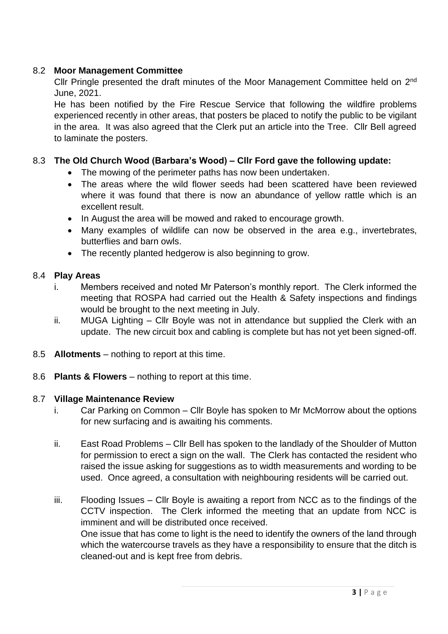### 8.2 **Moor Management Committee**

Cllr Pringle presented the draft minutes of the Moor Management Committee held on 2<sup>nd</sup> June, 2021.

He has been notified by the Fire Rescue Service that following the wildfire problems experienced recently in other areas, that posters be placed to notify the public to be vigilant in the area. It was also agreed that the Clerk put an article into the Tree. Cllr Bell agreed to laminate the posters.

# 8.3 **The Old Church Wood (Barbara's Wood) – Cllr Ford gave the following update:**

- The mowing of the perimeter paths has now been undertaken.
- The areas where the wild flower seeds had been scattered have been reviewed where it was found that there is now an abundance of yellow rattle which is an excellent result.
- In August the area will be mowed and raked to encourage growth.
- Many examples of wildlife can now be observed in the area e.g., invertebrates, butterflies and barn owls.
- The recently planted hedgerow is also beginning to grow.

### 8.4 **Play Areas**

- i. Members received and noted Mr Paterson's monthly report. The Clerk informed the meeting that ROSPA had carried out the Health & Safety inspections and findings would be brought to the next meeting in July.
- ii. MUGA Lighting Cllr Boyle was not in attendance but supplied the Clerk with an update. The new circuit box and cabling is complete but has not yet been signed-off.
- 8.5 **Allotments** nothing to report at this time.
- 8.6 **Plants & Flowers**  nothing to report at this time.

### 8.7 **Village Maintenance Review**

- i. Car Parking on Common Cllr Boyle has spoken to Mr McMorrow about the options for new surfacing and is awaiting his comments.
- ii. East Road Problems Cllr Bell has spoken to the landlady of the Shoulder of Mutton for permission to erect a sign on the wall. The Clerk has contacted the resident who raised the issue asking for suggestions as to width measurements and wording to be used. Once agreed, a consultation with neighbouring residents will be carried out.
- iii. Flooding Issues Cllr Boyle is awaiting a report from NCC as to the findings of the CCTV inspection. The Clerk informed the meeting that an update from NCC is imminent and will be distributed once received. One issue that has come to light is the need to identify the owners of the land through which the watercourse travels as they have a responsibility to ensure that the ditch is cleaned-out and is kept free from debris.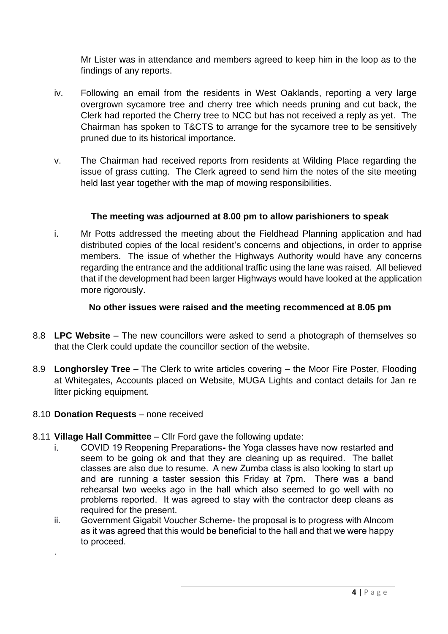Mr Lister was in attendance and members agreed to keep him in the loop as to the findings of any reports.

- iv. Following an email from the residents in West Oaklands, reporting a very large overgrown sycamore tree and cherry tree which needs pruning and cut back, the Clerk had reported the Cherry tree to NCC but has not received a reply as yet. The Chairman has spoken to T&CTS to arrange for the sycamore tree to be sensitively pruned due to its historical importance.
- v. The Chairman had received reports from residents at Wilding Place regarding the issue of grass cutting. The Clerk agreed to send him the notes of the site meeting held last year together with the map of mowing responsibilities.

### **The meeting was adjourned at 8.00 pm to allow parishioners to speak**

i. Mr Potts addressed the meeting about the Fieldhead Planning application and had distributed copies of the local resident's concerns and objections, in order to apprise members. The issue of whether the Highways Authority would have any concerns regarding the entrance and the additional traffic using the lane was raised. All believed that if the development had been larger Highways would have looked at the application more rigorously.

#### **No other issues were raised and the meeting recommenced at 8.05 pm**

- 8.8 **LPC Website** The new councillors were asked to send a photograph of themselves so that the Clerk could update the councillor section of the website.
- 8.9 **Longhorsley Tree** The Clerk to write articles covering the Moor Fire Poster, Flooding at Whitegates, Accounts placed on Website, MUGA Lights and contact details for Jan re litter picking equipment.

#### 8.10 **Donation Requests** – none received

.

- 8.11 **Village Hall Committee** Cllr Ford gave the following update:
	- i. COVID 19 Reopening Preparations**-** the Yoga classes have now restarted and seem to be going ok and that they are cleaning up as required. The ballet classes are also due to resume. A new Zumba class is also looking to start up and are running a taster session this Friday at 7pm. There was a band rehearsal two weeks ago in the hall which also seemed to go well with no problems reported. It was agreed to stay with the contractor deep cleans as required for the present.
	- ii. Government Gigabit Voucher Scheme- the proposal is to progress with Alncom as it was agreed that this would be beneficial to the hall and that we were happy to proceed.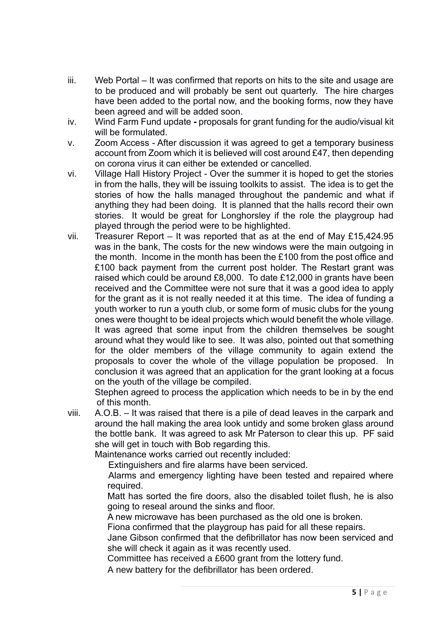- iii. Web Portal It was confirmed that reports on hits to the site and usage are to be produced and will probably be sent out quarterly. The hire charges have been added to the portal now, and the booking forms, now they have been agreed and will be added soon.
- iv. Wind Farm Fund update **-** proposals for grant funding for the audio/visual kit will be formulated.
- v. Zoom Access After discussion it was agreed to get a temporary business account from Zoom which it is believed will cost around £47, then depending on corona virus it can either be extended or cancelled.
- vi. Village Hall History Project Over the summer it is hoped to get the stories in from the halls, they will be issuing toolkits to assist. The idea is to get the stories of how the halls managed throughout the pandemic and what if anything they had been doing. It is planned that the halls record their own stories. It would be great for Longhorsley if the role the playgroup had played through the period were to be highlighted.
- vii. Treasurer Report It was reported that as at the end of May £15,424.95 was in the bank, The costs for the new windows were the main outgoing in the month. Income in the month has been the £100 from the post office and £100 back payment from the current post holder. The Restart grant was raised which could be around £8,000. To date £12,000 in grants have been received and the Committee were not sure that it was a good idea to apply for the grant as it is not really needed it at this time. The idea of funding a youth worker to run a youth club, or some form of music clubs for the young ones were thought to be ideal projects which would benefit the whole village. It was agreed that some input from the children themselves be sought around what they would like to see. It was also, pointed out that something for the older members of the village community to again extend the proposals to cover the whole of the village population be proposed. In conclusion it was agreed that an application for the grant looking at a focus on the youth of the village be compiled.

Stephen agreed to process the application which needs to be in by the end of this month.

viii. A.O.B. – It was raised that there is a pile of dead leaves in the carpark and around the hall making the area look untidy and some broken glass around the bottle bank. It was agreed to ask Mr Paterson to clear this up. PF said she will get in touch with Bob regarding this.

Maintenance works carried out recently included:

Extinguishers and fire alarms have been serviced.

Alarms and emergency lighting have been tested and repaired where required.

Matt has sorted the fire doors, also the disabled toilet flush, he is also going to reseal around the sinks and floor.

A new microwave has been purchased as the old one is broken.

Fiona confirmed that the playgroup has paid for all these repairs.

Jane Gibson confirmed that the defibrillator has now been serviced and she will check it again as it was recently used.

Committee has received a £600 grant from the lottery fund.

A new battery for the defibrillator has been ordered.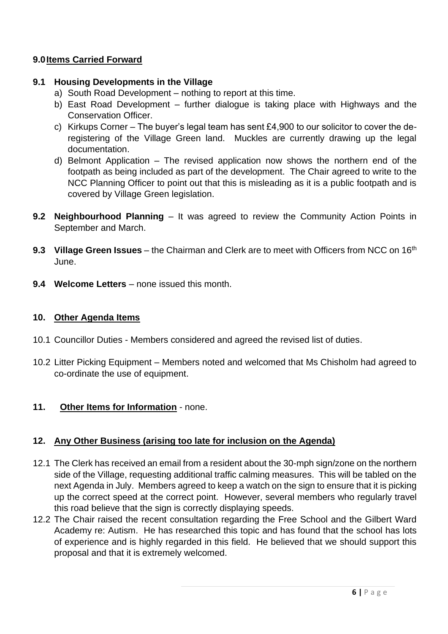#### **9.0Items Carried Forward**

#### **9.1 Housing Developments in the Village**

- a) South Road Development nothing to report at this time.
- b) East Road Development further dialogue is taking place with Highways and the Conservation Officer.
- c) Kirkups Corner The buyer's legal team has sent £4,900 to our solicitor to cover the deregistering of the Village Green land. Muckles are currently drawing up the legal documentation.
- d) Belmont Application The revised application now shows the northern end of the footpath as being included as part of the development. The Chair agreed to write to the NCC Planning Officer to point out that this is misleading as it is a public footpath and is covered by Village Green legislation.
- **9.2 Neighbourhood Planning** It was agreed to review the Community Action Points in September and March.
- **9.3 Village Green Issues** the Chairman and Clerk are to meet with Officers from NCC on 16<sup>th</sup> June.
- **9.4 Welcome Letters** none issued this month.

#### **10. Other Agenda Items**

- 10.1 Councillor Duties Members considered and agreed the revised list of duties.
- 10.2 Litter Picking Equipment Members noted and welcomed that Ms Chisholm had agreed to co-ordinate the use of equipment.

### **11. Other Items for Information** - none.

### **12. Any Other Business (arising too late for inclusion on the Agenda)**

- 12.1 The Clerk has received an email from a resident about the 30-mph sign/zone on the northern side of the Village, requesting additional traffic calming measures. This will be tabled on the next Agenda in July. Members agreed to keep a watch on the sign to ensure that it is picking up the correct speed at the correct point. However, several members who regularly travel this road believe that the sign is correctly displaying speeds.
- 12.2 The Chair raised the recent consultation regarding the Free School and the Gilbert Ward Academy re: Autism. He has researched this topic and has found that the school has lots of experience and is highly regarded in this field. He believed that we should support this proposal and that it is extremely welcomed.